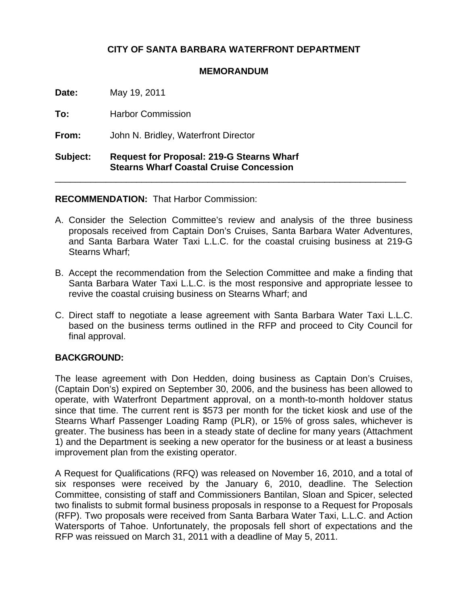# **CITY OF SANTA BARBARA WATERFRONT DEPARTMENT**

#### **MEMORANDUM**

**Date:** May 19, 2011

**To:** Harbor Commission

**From:** John N. Bridley, Waterfront Director

## **Subject: Request for Proposal: 219-G Stearns Wharf Stearns Wharf Coastal Cruise Concession**

### **RECOMMENDATION:** That Harbor Commission:

A. Consider the Selection Committee's review and analysis of the three business proposals received from Captain Don's Cruises, Santa Barbara Water Adventures, and Santa Barbara Water Taxi L.L.C. for the coastal cruising business at 219-G Stearns Wharf;

\_\_\_\_\_\_\_\_\_\_\_\_\_\_\_\_\_\_\_\_\_\_\_\_\_\_\_\_\_\_\_\_\_\_\_\_\_\_\_\_\_\_\_\_\_\_\_\_\_\_\_\_\_\_\_\_\_\_\_\_\_\_\_\_\_\_\_\_\_

- B. Accept the recommendation from the Selection Committee and make a finding that Santa Barbara Water Taxi L.L.C. is the most responsive and appropriate lessee to revive the coastal cruising business on Stearns Wharf; and
- C. Direct staff to negotiate a lease agreement with Santa Barbara Water Taxi L.L.C. based on the business terms outlined in the RFP and proceed to City Council for final approval.

### **BACKGROUND:**

The lease agreement with Don Hedden, doing business as Captain Don's Cruises, (Captain Don's) expired on September 30, 2006, and the business has been allowed to operate, with Waterfront Department approval, on a month-to-month holdover status since that time. The current rent is \$573 per month for the ticket kiosk and use of the Stearns Wharf Passenger Loading Ramp (PLR), or 15% of gross sales, whichever is greater. The business has been in a steady state of decline for many years (Attachment 1) and the Department is seeking a new operator for the business or at least a business improvement plan from the existing operator.

A Request for Qualifications (RFQ) was released on November 16, 2010, and a total of six responses were received by the January 6, 2010, deadline. The Selection Committee, consisting of staff and Commissioners Bantilan, Sloan and Spicer, selected two finalists to submit formal business proposals in response to a Request for Proposals (RFP). Two proposals were received from Santa Barbara Water Taxi, L.L.C. and Action Watersports of Tahoe. Unfortunately, the proposals fell short of expectations and the RFP was reissued on March 31, 2011 with a deadline of May 5, 2011.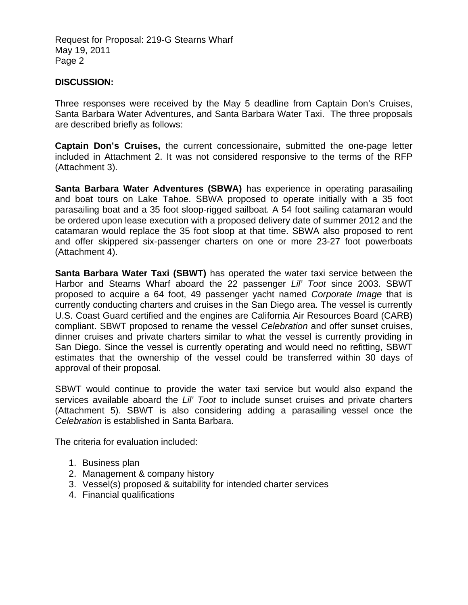Request for Proposal: 219-G Stearns Wharf May 19, 2011 Page 2

#### **DISCUSSION:**

Three responses were received by the May 5 deadline from Captain Don's Cruises, Santa Barbara Water Adventures, and Santa Barbara Water Taxi. The three proposals are described briefly as follows:

**Captain Don's Cruises,** the current concessionaire**,** submitted the one-page letter included in Attachment 2. It was not considered responsive to the terms of the RFP (Attachment 3).

**Santa Barbara Water Adventures (SBWA)** has experience in operating parasailing and boat tours on Lake Tahoe. SBWA proposed to operate initially with a 35 foot parasailing boat and a 35 foot sloop-rigged sailboat. A 54 foot sailing catamaran would be ordered upon lease execution with a proposed delivery date of summer 2012 and the catamaran would replace the 35 foot sloop at that time. SBWA also proposed to rent and offer skippered six-passenger charters on one or more 23-27 foot powerboats (Attachment 4).

**Santa Barbara Water Taxi (SBWT)** has operated the water taxi service between the Harbor and Stearns Wharf aboard the 22 passenger *Lil' Toot* since 2003. SBWT proposed to acquire a 64 foot, 49 passenger yacht named *Corporate Image* that is currently conducting charters and cruises in the San Diego area. The vessel is currently U.S. Coast Guard certified and the engines are California Air Resources Board (CARB) compliant. SBWT proposed to rename the vessel *Celebration* and offer sunset cruises, dinner cruises and private charters similar to what the vessel is currently providing in San Diego. Since the vessel is currently operating and would need no refitting, SBWT estimates that the ownership of the vessel could be transferred within 30 days of approval of their proposal.

SBWT would continue to provide the water taxi service but would also expand the services available aboard the *Lil' Toot* to include sunset cruises and private charters (Attachment 5). SBWT is also considering adding a parasailing vessel once the *Celebration* is established in Santa Barbara.

The criteria for evaluation included:

- 1. Business plan
- 2. Management & company history
- 3. Vessel(s) proposed & suitability for intended charter services
- 4. Financial qualifications